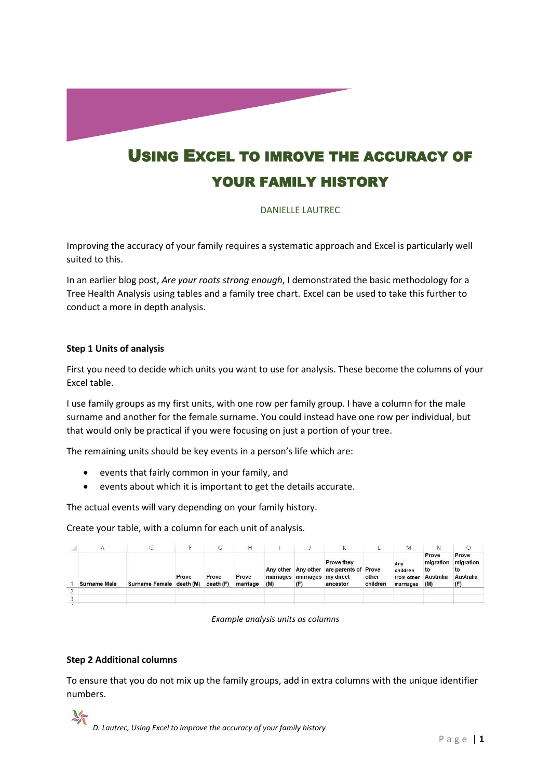

# USING EXCEL TO IMROVE THE ACCURACY OF YOUR FAMILY HISTORY

# DANIELLE LAUTREC

Improving the accuracy of your family requires a systematic approach and Excel is particularly well suited to this.

In an earlier blog post, *Are your roots strong enough*, I demonstrated the basic methodology for a Tree Health Analysis using tables and a family tree chart. Excel can be used to take this further to conduct a more in depth analysis.

# **Step 1 Units of analysis**

First you need to decide which units you want to use for analysis. These become the columns of your Excel table.

I use family groups as my first units, with one row per family group. I have a column for the male surname and another for the female surname. You could instead have one row per individual, but that would only be practical if you were focusing on just a portion of your tree.

The remaining units should be key events in a person's life which are:

- events that fairly common in your family, and
- events about which it is important to get the details accurate.

The actual events will vary depending on your family history.

Create your table, with a column for each unit of analysis.

|                     |                          |       | G                 |                   |     |                                      |                                                                           |                   | М                                          | N                                            |                                              |
|---------------------|--------------------------|-------|-------------------|-------------------|-----|--------------------------------------|---------------------------------------------------------------------------|-------------------|--------------------------------------------|----------------------------------------------|----------------------------------------------|
| <b>Surname Male</b> | Surname Female death (M) | Prove | Prove<br>death(F) | Prove<br>marriage | (M) | marriages marriages my direct<br>(F) | <b>Prove they</b><br>Any other Any other are parents of Prove<br>ancestor | other<br>children | Any<br>children<br>from other<br>marriages | Prove<br>migration<br>to<br>Australia<br>(M) | Prove<br>migration<br>to<br>Australia<br>(F) |
|                     |                          |       |                   |                   |     |                                      |                                                                           |                   |                                            |                                              |                                              |
|                     |                          |       |                   |                   |     |                                      |                                                                           |                   |                                            |                                              |                                              |

*Example analysis units as columns*

# **Step 2 Additional columns**

To ensure that you do not mix up the family groups, add in extra columns with the unique identifier numbers.

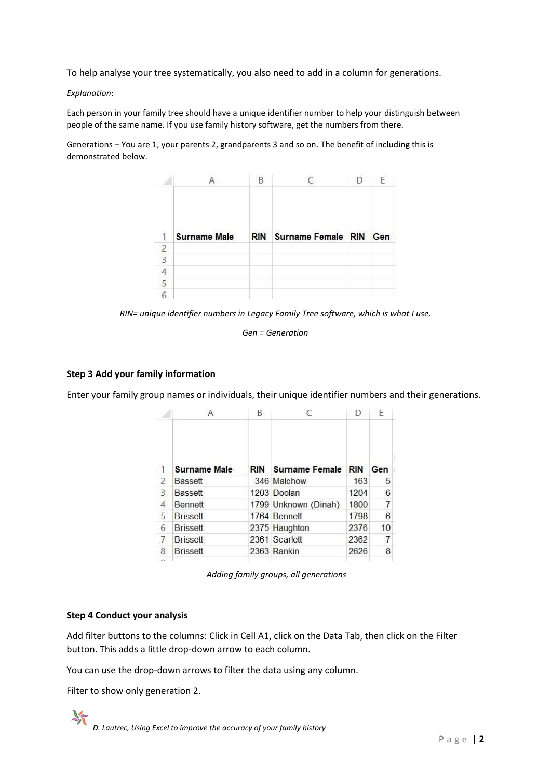To help analyse your tree systematically, you also need to add in a column for generations.

#### *Explanation*:

Each person in your family tree should have a unique identifier number to help your distinguish between people of the same name. If you use family history software, get the numbers from there.

Generations – You are 1, your parents 2, grandparents 3 and so on. The benefit of including this is demonstrated below.



*RIN= unique identifier numbers in Legacy Family Tree software, which is what I use.* 

*Gen = Generation*

# **Step 3 Add your family information**

Enter your family group names or individuals, their unique identifier numbers and their generations.

|                |                     | B   |                       | D          | E              |  |
|----------------|---------------------|-----|-----------------------|------------|----------------|--|
| 1              | <b>Surname Male</b> | RIN | <b>Surname Female</b> | <b>RIN</b> | Gen            |  |
| 2              | <b>Bassett</b>      |     | 346 Malchow           | 163        | 5              |  |
| 3              | <b>Bassett</b>      |     | 1203 Doolan           | 1204       | 6              |  |
| $\overline{4}$ | Bennett             |     | 1799 Unknown (Dinah)  | 1800       | $\overline{7}$ |  |
| 5              | <b>Brissett</b>     |     | 1764 Bennett          | 1798       | 6              |  |
| 6              | <b>Brissett</b>     |     | 2375 Haughton         | 2376       | 10             |  |
|                | <b>Brissett</b>     |     | 2361 Scarlett         | 2362       | 7              |  |
| 8              | <b>Brissett</b>     |     | 2363 Rankin           | 2626       | 8              |  |
|                |                     |     |                       |            |                |  |

*Adding family groups, all generations*

# **Step 4 Conduct your analysis**

Add filter buttons to the columns: Click in Cell A1, click on the Data Tab, then click on the Filter button. This adds a little drop-down arrow to each column.

You can use the drop-down arrows to filter the data using any column.

Filter to show only generation 2.